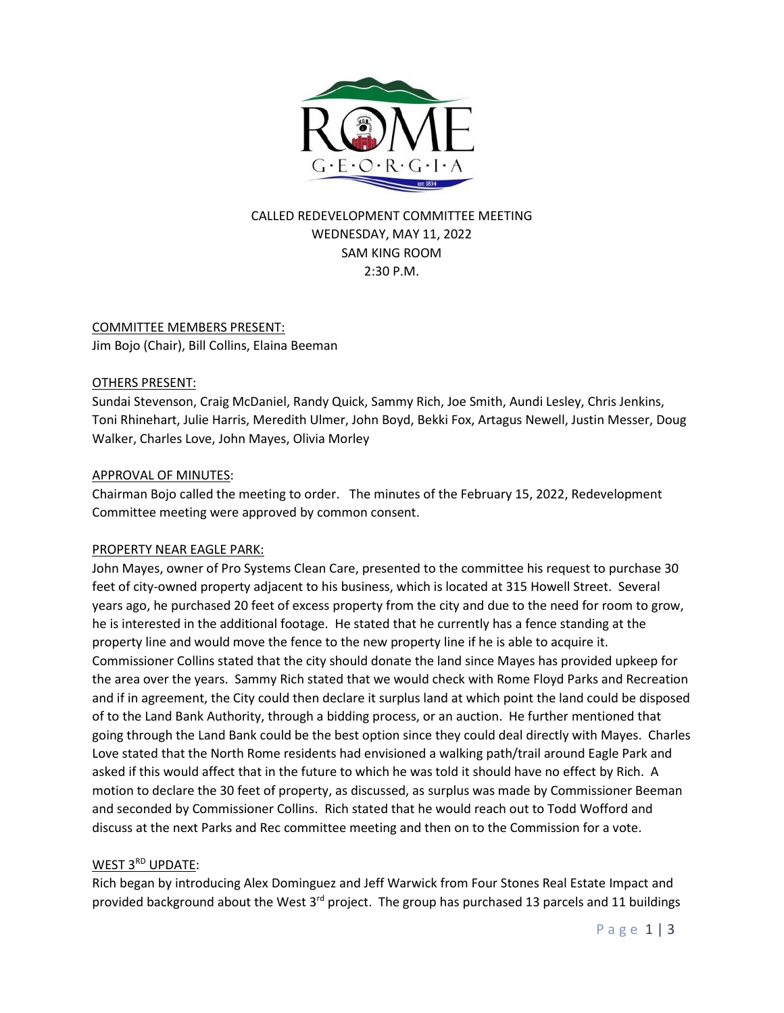

## CALLED REDEVELOPMENT COMMITTEE MEETING WEDNESDAY, MAY 11, 2022 SAM KING ROOM 2:30 P.M.

# COMMITTEE MEMBERS PRESENT:

Jim Bojo (Chair), Bill Collins, Elaina Beeman

### OTHERS PRESENT:

Sundai Stevenson, Craig McDaniel, Randy Quick, Sammy Rich, Joe Smith, Aundi Lesley, Chris Jenkins, Toni Rhinehart, Julie Harris, Meredith Ulmer, John Boyd, Bekki Fox, Artagus Newell, Justin Messer, Doug Walker, Charles Love, John Mayes, Olivia Morley

### APPROVAL OF MINUTES:

Chairman Bojo called the meeting to order. The minutes of the February 15, 2022, Redevelopment Committee meeting were approved by common consent.

#### PROPERTY NEAR EAGLE PARK:

John Mayes, owner of Pro Systems Clean Care, presented to the committee his request to purchase 30 feet of city-owned property adjacent to his business, which is located at 315 Howell Street. Several years ago, he purchased 20 feet of excess property from the city and due to the need for room to grow, he is interested in the additional footage. He stated that he currently has a fence standing at the property line and would move the fence to the new property line if he is able to acquire it. Commissioner Collins stated that the city should donate the land since Mayes has provided upkeep for the area over the years. Sammy Rich stated that we would check with Rome Floyd Parks and Recreation and if in agreement, the City could then declare it surplus land at which point the land could be disposed of to the Land Bank Authority, through a bidding process, or an auction. He further mentioned that going through the Land Bank could be the best option since they could deal directly with Mayes. Charles Love stated that the North Rome residents had envisioned a walking path/trail around Eagle Park and asked if this would affect that in the future to which he was told it should have no effect by Rich. A motion to declare the 30 feet of property, as discussed, as surplus was made by Commissioner Beeman and seconded by Commissioner Collins. Rich stated that he would reach out to Todd Wofford and discuss at the next Parks and Rec committee meeting and then on to the Commission for a vote.

#### WEST 3RD UPDATE:

Rich began by introducing Alex Dominguez and Jeff Warwick from Four Stones Real Estate Impact and provided background about the West 3<sup>rd</sup> project. The group has purchased 13 parcels and 11 buildings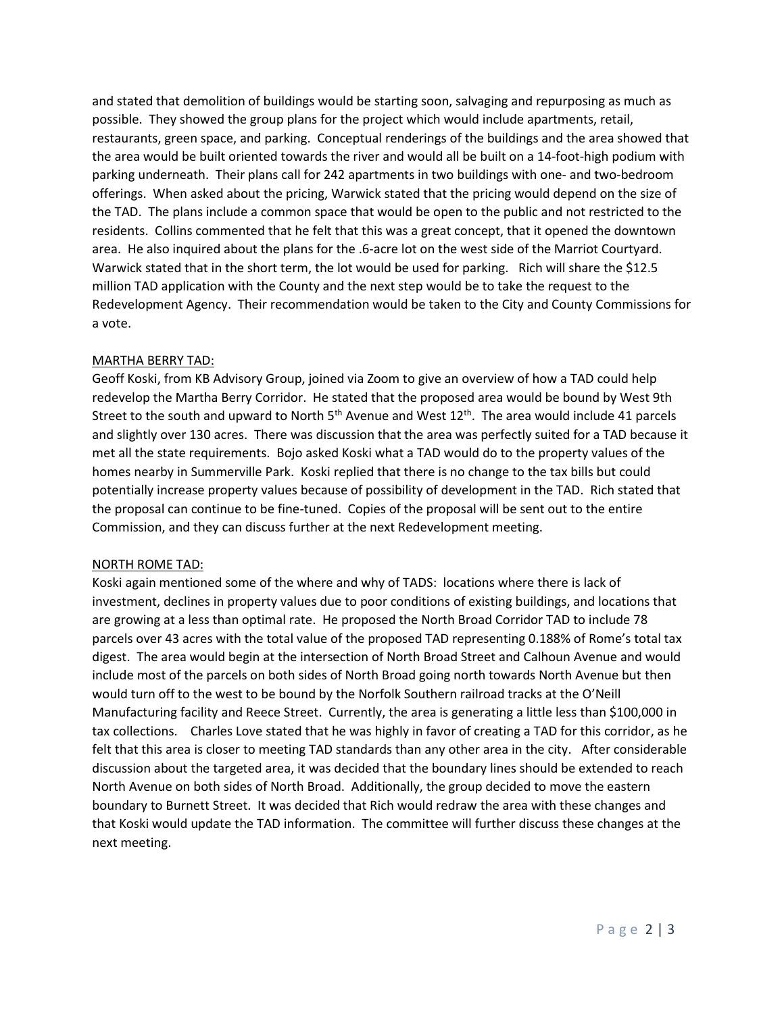and stated that demolition of buildings would be starting soon, salvaging and repurposing as much as possible. They showed the group plans for the project which would include apartments, retail, restaurants, green space, and parking. Conceptual renderings of the buildings and the area showed that the area would be built oriented towards the river and would all be built on a 14-foot-high podium with parking underneath. Their plans call for 242 apartments in two buildings with one- and two-bedroom offerings. When asked about the pricing, Warwick stated that the pricing would depend on the size of the TAD. The plans include a common space that would be open to the public and not restricted to the residents. Collins commented that he felt that this was a great concept, that it opened the downtown area. He also inquired about the plans for the .6-acre lot on the west side of the Marriot Courtyard. Warwick stated that in the short term, the lot would be used for parking. Rich will share the \$12.5 million TAD application with the County and the next step would be to take the request to the Redevelopment Agency. Their recommendation would be taken to the City and County Commissions for a vote.

#### MARTHA BERRY TAD:

Geoff Koski, from KB Advisory Group, joined via Zoom to give an overview of how a TAD could help redevelop the Martha Berry Corridor. He stated that the proposed area would be bound by West 9th Street to the south and upward to North  $5<sup>th</sup>$  Avenue and West  $12<sup>th</sup>$ . The area would include 41 parcels and slightly over 130 acres. There was discussion that the area was perfectly suited for a TAD because it met all the state requirements. Bojo asked Koski what a TAD would do to the property values of the homes nearby in Summerville Park. Koski replied that there is no change to the tax bills but could potentially increase property values because of possibility of development in the TAD. Rich stated that the proposal can continue to be fine-tuned. Copies of the proposal will be sent out to the entire Commission, and they can discuss further at the next Redevelopment meeting.

#### NORTH ROME TAD:

Koski again mentioned some of the where and why of TADS: locations where there is lack of investment, declines in property values due to poor conditions of existing buildings, and locations that are growing at a less than optimal rate. He proposed the North Broad Corridor TAD to include 78 parcels over 43 acres with the total value of the proposed TAD representing 0.188% of Rome's total tax digest. The area would begin at the intersection of North Broad Street and Calhoun Avenue and would include most of the parcels on both sides of North Broad going north towards North Avenue but then would turn off to the west to be bound by the Norfolk Southern railroad tracks at the O'Neill Manufacturing facility and Reece Street. Currently, the area is generating a little less than \$100,000 in tax collections. Charles Love stated that he was highly in favor of creating a TAD for this corridor, as he felt that this area is closer to meeting TAD standards than any other area in the city. After considerable discussion about the targeted area, it was decided that the boundary lines should be extended to reach North Avenue on both sides of North Broad. Additionally, the group decided to move the eastern boundary to Burnett Street. It was decided that Rich would redraw the area with these changes and that Koski would update the TAD information. The committee will further discuss these changes at the next meeting.